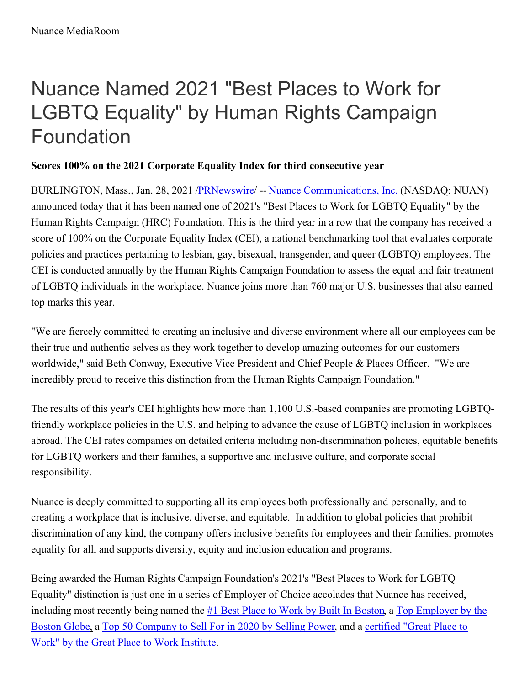## Nuance Named 2021 "Best Places to Work for LGBTQ Equality" by Human Rights Campaign Foundation

## **Scores 100% on the 2021 Corporate Equality Index for third consecutive year**

BURLINGTON, Mass., Jan. 28, 2021 [/PRNewswire](http://www.prnewswire.com/)/ -- Nuance [Communications,](https://c212.net/c/link/?t=0&l=en&o=3049816-1&h=2778072147&u=https%3A%2F%2Fwww.nuance.com%2Findex.html&a=Nuance+Communications%2C+Inc.) Inc. (NASDAQ: NUAN) announced today that it has been named one of 2021's "Best Places to Work for LGBTQ Equality" by the Human Rights Campaign (HRC) Foundation. This is the third year in a row that the company has received a score of 100% on the Corporate Equality Index (CEI), a national benchmarking tool that evaluates corporate policies and practices pertaining to lesbian, gay, bisexual, transgender, and queer (LGBTQ) employees. The CEI is conducted annually by the Human Rights Campaign Foundation to assess the equal and fair treatment of LGBTQ individuals in the workplace. Nuance joins more than 760 major U.S. businesses that also earned top marks this year.

"We are fiercely committed to creating an inclusive and diverse environment where all our employees can be their true and authentic selves as they work together to develop amazing outcomes for our customers worldwide," said Beth Conway, Executive Vice President and Chief People & Places Officer. "We are incredibly proud to receive this distinction from the Human Rights Campaign Foundation."

The results of this year's CEI highlights how more than 1,100 U.S.-based companies are promoting LGBTQfriendly workplace policies in the U.S. and helping to advance the cause of LGBTQ inclusion in workplaces abroad. The CEI rates companies on detailed criteria including non-discrimination policies, equitable benefits for LGBTQ workers and their families, a supportive and inclusive culture, and corporate social responsibility.

Nuance is deeply committed to supporting all its employees both professionally and personally, and to creating a workplace that is inclusive, diverse, and equitable. In addition to global policies that prohibit discrimination of any kind, the company offers inclusive benefits for employees and their families, promotes equality for all, and supports diversity, equity and inclusion education and programs.

Being awarded the Human Rights Campaign Foundation's 2021's "Best Places to Work for LGBTQ Equality" distinction is just one in a series of Employer of Choice accolades that Nuance has received, including most recently being named the #1 Best Place to Work by Built In [Boston](https://c212.net/c/link/?t=0&l=en&o=3049816-1&h=3892543836&u=https%3A%2F%2Fnews.nuance.com%2F2021-01-11-Nuance-Named-1-Best-Place-to-Work-by-Built-In-Boston&a=%231+Best+Place+to+Work+by+Built+In+Boston), a Top [Employer](https://c212.net/c/link/?t=0&l=en&o=3049816-1&h=2694284312&u=https%3A%2F%2Fnews.nuance.com%2F2020-11-23-The-Boston-Globe-Names-Nuance-a-Top-Place-to-Work-for-2020&a=Top+Employer+by+the+Boston+Globe) by the Boston Globe, a Top 50 [Company](https://c212.net/c/link/?t=0&l=en&o=3049816-1&h=2888275356&u=https%3A%2F%2Fnews.nuance.com%2F2020-07-09-Nuance-Recognized-as-a-Best-Company-to-Sell-For-by-Selling-Power&a=Top+50+Company+to+Sell+For+in+2020+by+Selling+Power) to Sell For in 2020 by Selling Power, and a certified "Great Place to Work" by the Great Place to Work Institute.